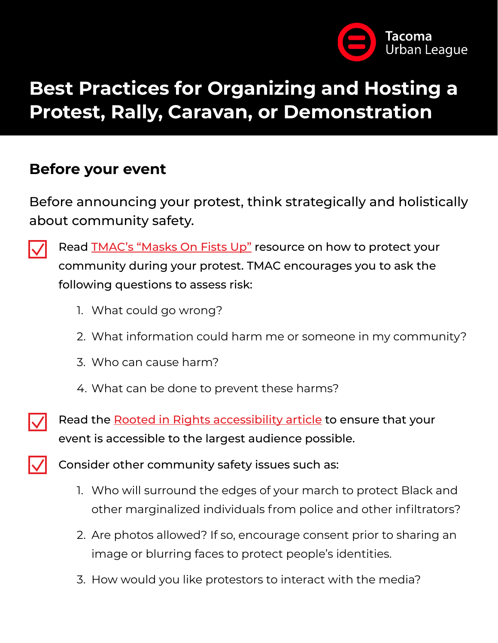

# **Best Practices for Organizing and Hosting a Protest, Rally, Caravan, or Demonstration**

#### **Before your event**

Before announcing your protest, think strategically and holistically about community safety.



Read [TMAC's "Masks On Fists Up"](https://drive.google.com/file/d/11OEvbud7VlAJ-HdaLgQKUrFeLCtjbzEe/view?fbclid=IwAR1ISONhjQ2e-rkQiHV2gReV-JDkZv1bQt6O4dxgm0Tc0hvuiZX2-54A3VI) resource on how to protect your community during your protest. TMAC encourages you to ask the following questions to assess risk:

- 1. What could go wrong?
- 2. What information could harm me or someone in my community?
- 3. Who can cause harm?
- 4. What can be done to prevent these harms?



Read the [Rooted in Rights accessibility article](https://rootedinrights.org/how-to-make-your-social-justice-events-accessible-to-the-disability-community-a-checklist/) to ensure that your event is accessible to the largest audience possible.



Consider other community safety issues such as:

- 1. Who will surround the edges of your march to protect Black and other marginalized individuals from police and other infiltrators?
- 2. Are photos allowed? If so, encourage consent prior to sharing an image or blurring faces to protect people's identities.
- 3. How would you like protestors to interact with the media?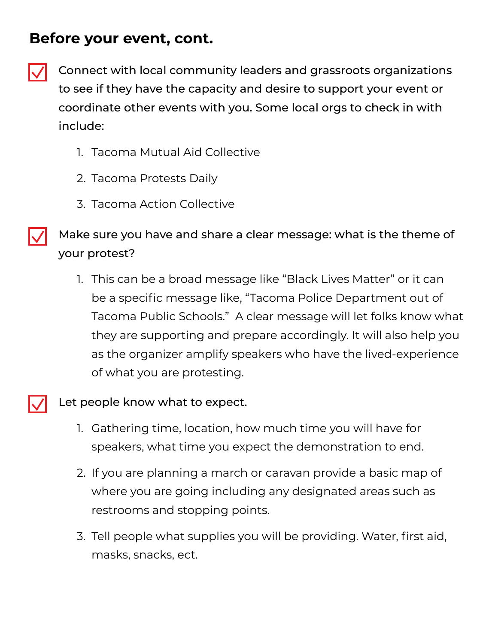### **Before your event, cont.**

Connect with local community leaders and grassroots organizations to see if they have the capacity and desire to support your event or coordinate other events with you. Some local orgs to check in with include:

- 1. Tacoma Mutual Aid Collective
- 2. Tacoma Protests Daily
- 3. Tacoma Action Collective

Make sure you have and share a clear message: what is the theme of your protest?

1. This can be a broad message like "Black Lives Matter" or it can be a specific message like, "Tacoma Police Department out of Tacoma Public Schools." A clear message will let folks know what they are supporting and prepare accordingly. It will also help you as the organizer amplify speakers who have the lived-experience of what you are protesting.



Let people know what to expect.

- 1. Gathering time, location, how much time you will have for speakers, what time you expect the demonstration to end.
- 2. If you are planning a march or caravan provide a basic map of where you are going including any designated areas such as restrooms and stopping points.
- 3. Tell people what supplies you will be providing. Water, first aid, masks, snacks, ect.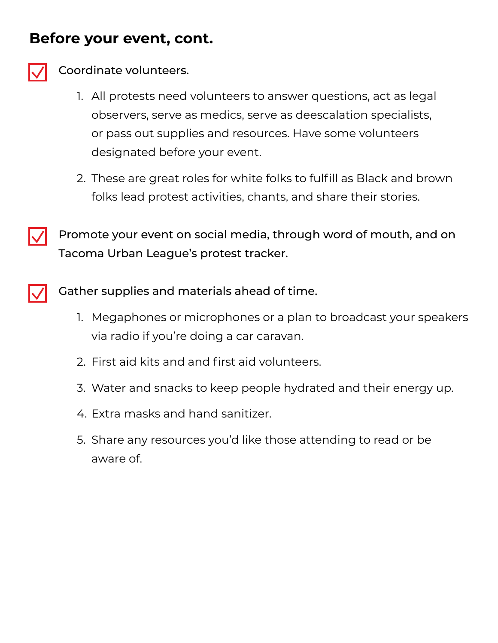#### **Before your event, cont.**



#### Coordinate volunteers.

- 1. All protests need volunteers to answer questions, act as legal observers, serve as medics, serve as deescalation specialists, or pass out supplies and resources. Have some volunteers designated before your event.
- 2. These are great roles for white folks to fulfill as Black and brown folks lead protest activities, chants, and share their stories.



Promote your event on social media, through word of mouth, and on Tacoma Urban League's protest tracker.

Gather supplies and materials ahead of time.

- 1. Megaphones or microphones or a plan to broadcast your speakers via radio if you're doing a car caravan.
- 2. First aid kits and and first aid volunteers.
- 3. Water and snacks to keep people hydrated and their energy up.
- 4. Extra masks and hand sanitizer.
- 5. Share any resources you'd like those attending to read or be aware of.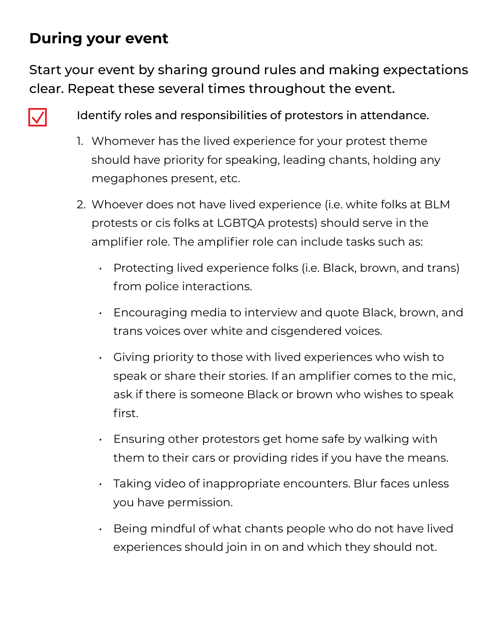## **During your event**

Start your event by sharing ground rules and making expectations clear. Repeat these several times throughout the event.



Identify roles and responsibilities of protestors in attendance.

- 1. Whomever has the lived experience for your protest theme should have priority for speaking, leading chants, holding any megaphones present, etc.
- 2. Whoever does not have lived experience (i.e. white folks at BLM protests or cis folks at LGBTQA protests) should serve in the amplifier role. The amplifier role can include tasks such as:
	- Protecting lived experience folks (i.e. Black, brown, and trans) from police interactions.
	- Encouraging media to interview and quote Black, brown, and trans voices over white and cisgendered voices.
	- Giving priority to those with lived experiences who wish to speak or share their stories. If an amplifier comes to the mic, ask if there is someone Black or brown who wishes to speak first.
	- Ensuring other protestors get home safe by walking with them to their cars or providing rides if you have the means.
	- Taking video of inappropriate encounters. Blur faces unless you have permission.
	- Being mindful of what chants people who do not have lived experiences should join in on and which they should not.